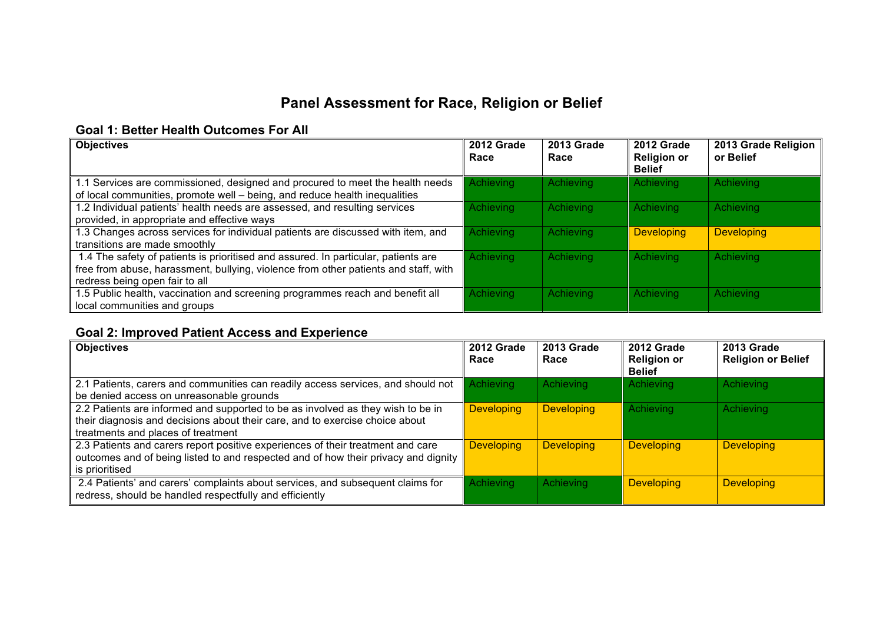# **Panel Assessment for Race, Religion or Belief**

#### **Goal 1: Better Health Outcomes For All**

| <b>Objectives</b>                                                                                                                                                                                           | 2012 Grade<br>Race | 2013 Grade<br>Race | 2012 Grade<br><b>Religion or</b><br><b>Belief</b> | 2013 Grade Religion<br>or Belief |
|-------------------------------------------------------------------------------------------------------------------------------------------------------------------------------------------------------------|--------------------|--------------------|---------------------------------------------------|----------------------------------|
| 1.1 Services are commissioned, designed and procured to meet the health needs<br>of local communities, promote well – being, and reduce health inequalities                                                 | Achieving          | Achieving          | Achieving                                         | Achieving                        |
| 1.2 Individual patients' health needs are assessed, and resulting services<br>provided, in appropriate and effective ways                                                                                   | Achieving          | <b>Achieving</b>   | Achieving                                         | Achieving                        |
| 1.3 Changes across services for individual patients are discussed with item, and<br>transitions are made smoothly                                                                                           | Achieving          | Achieving          | <b>Developing</b>                                 | <b>Developing</b>                |
| 1.4 The safety of patients is prioritised and assured. In particular, patients are<br>free from abuse, harassment, bullying, violence from other patients and staff, with<br>redress being open fair to all | Achieving          | Achieving          | Achieving                                         | Achieving                        |
| 1.5 Public health, vaccination and screening programmes reach and benefit all<br>local communities and groups                                                                                               | Achieving          | Achieving          | Achieving                                         | Achieving                        |

### **Goal 2: Improved Patient Access and Experience**

| <b>Objectives</b>                                                                                                                                                                                     | 2012 Grade<br>Race | <b>2013 Grade</b><br>Race | 2012 Grade<br><b>Religion or</b><br><b>Belief</b> | <b>2013 Grade</b><br><b>Religion or Belief</b> |
|-------------------------------------------------------------------------------------------------------------------------------------------------------------------------------------------------------|--------------------|---------------------------|---------------------------------------------------|------------------------------------------------|
| 2.1 Patients, carers and communities can readily access services, and should not<br>be denied access on unreasonable grounds                                                                          | Achieving          | Achieving                 | Achieving                                         | Achieving                                      |
| 2.2 Patients are informed and supported to be as involved as they wish to be in<br>their diagnosis and decisions about their care, and to exercise choice about<br>treatments and places of treatment | <b>Developing</b>  | <b>Developing</b>         | Achieving                                         | Achieving                                      |
| 2.3 Patients and carers report positive experiences of their treatment and care<br>outcomes and of being listed to and respected and of how their privacy and dignity<br>is prioritised               | <b>Developing</b>  | <b>Developing</b>         | <b>Developing</b>                                 | <b>Developing</b>                              |
| 2.4 Patients' and carers' complaints about services, and subsequent claims for<br>redress, should be handled respectfully and efficiently                                                             | Achieving          | Achieving                 | <b>Developing</b>                                 | <b>Developing</b>                              |